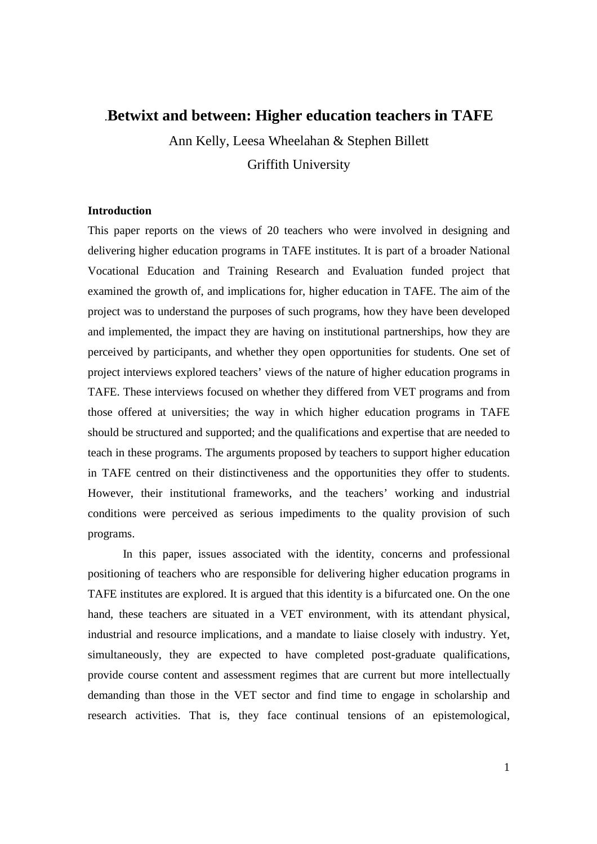# .**Betwixt and between: Higher education teachers in TAFE**

Ann Kelly, Leesa Wheelahan & Stephen Billett Griffith University

## **Introduction**

This paper reports on the views of 20 teachers who were involved in designing and delivering higher education programs in TAFE institutes. It is part of a broader National Vocational Education and Training Research and Evaluation funded project that examined the growth of, and implications for, higher education in TAFE. The aim of the project was to understand the purposes of such programs, how they have been developed and implemented, the impact they are having on institutional partnerships, how they are perceived by participants, and whether they open opportunities for students. One set of project interviews explored teachers' views of the nature of higher education programs in TAFE. These interviews focused on whether they differed from VET programs and from those offered at universities; the way in which higher education programs in TAFE should be structured and supported; and the qualifications and expertise that are needed to teach in these programs. The arguments proposed by teachers to support higher education in TAFE centred on their distinctiveness and the opportunities they offer to students. However, their institutional frameworks, and the teachers' working and industrial conditions were perceived as serious impediments to the quality provision of such programs.

In this paper, issues associated with the identity, concerns and professional positioning of teachers who are responsible for delivering higher education programs in TAFE institutes are explored. It is argued that this identity is a bifurcated one. On the one hand, these teachers are situated in a VET environment, with its attendant physical, industrial and resource implications, and a mandate to liaise closely with industry. Yet, simultaneously, they are expected to have completed post-graduate qualifications, provide course content and assessment regimes that are current but more intellectually demanding than those in the VET sector and find time to engage in scholarship and research activities. That is, they face continual tensions of an epistemological,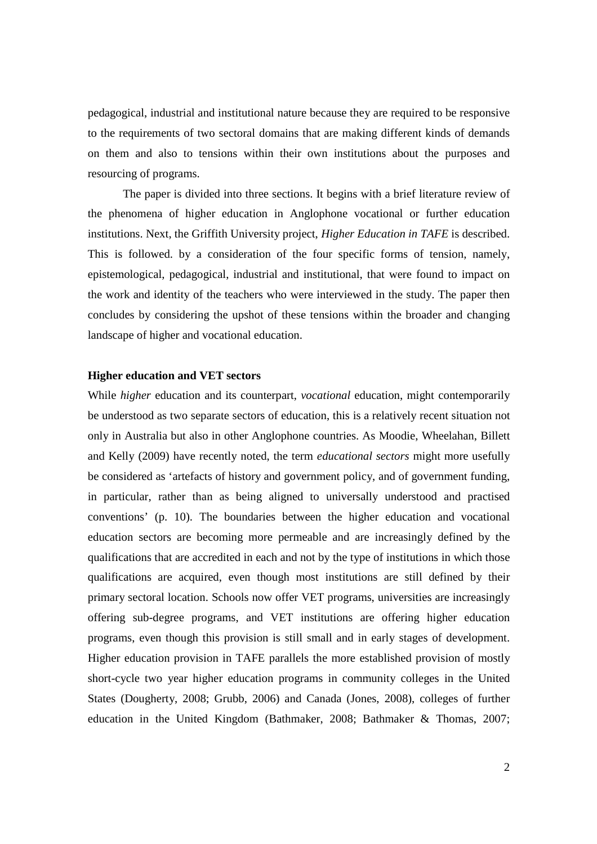pedagogical, industrial and institutional nature because they are required to be responsive to the requirements of two sectoral domains that are making different kinds of demands on them and also to tensions within their own institutions about the purposes and resourcing of programs.

 The paper is divided into three sections. It begins with a brief literature review of the phenomena of higher education in Anglophone vocational or further education institutions. Next, the Griffith University project, *Higher Education in TAFE* is described. This is followed. by a consideration of the four specific forms of tension, namely, epistemological, pedagogical, industrial and institutional, that were found to impact on the work and identity of the teachers who were interviewed in the study. The paper then concludes by considering the upshot of these tensions within the broader and changing landscape of higher and vocational education.

### **Higher education and VET sectors**

While *higher* education and its counterpart, *vocational* education, might contemporarily be understood as two separate sectors of education, this is a relatively recent situation not only in Australia but also in other Anglophone countries. As Moodie, Wheelahan, Billett and Kelly (2009) have recently noted, the term *educational sectors* might more usefully be considered as 'artefacts of history and government policy, and of government funding, in particular, rather than as being aligned to universally understood and practised conventions' (p. 10). The boundaries between the higher education and vocational education sectors are becoming more permeable and are increasingly defined by the qualifications that are accredited in each and not by the type of institutions in which those qualifications are acquired, even though most institutions are still defined by their primary sectoral location. Schools now offer VET programs, universities are increasingly offering sub-degree programs, and VET institutions are offering higher education programs, even though this provision is still small and in early stages of development. Higher education provision in TAFE parallels the more established provision of mostly short-cycle two year higher education programs in community colleges in the United States (Dougherty, 2008; Grubb, 2006) and Canada (Jones, 2008), colleges of further education in the United Kingdom (Bathmaker, 2008; Bathmaker & Thomas, 2007;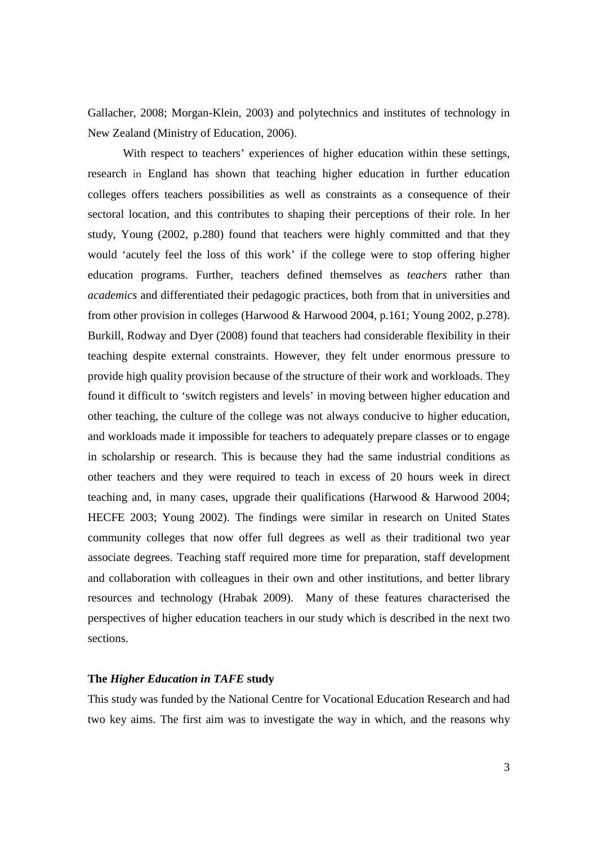Gallacher, 2008; Morgan-Klein, 2003) and polytechnics and institutes of technology in New Zealand (Ministry of Education, 2006).

With respect to teachers' experiences of higher education within these settings, research in England has shown that teaching higher education in further education colleges offers teachers possibilities as well as constraints as a consequence of their sectoral location, and this contributes to shaping their perceptions of their role. In her study, Young (2002, p.280) found that teachers were highly committed and that they would 'acutely feel the loss of this work' if the college were to stop offering higher education programs. Further, teachers defined themselves as *teachers* rather than *academics* and differentiated their pedagogic practices, both from that in universities and from other provision in colleges (Harwood & Harwood 2004, p.161; Young 2002, p.278). Burkill, Rodway and Dyer (2008) found that teachers had considerable flexibility in their teaching despite external constraints. However, they felt under enormous pressure to provide high quality provision because of the structure of their work and workloads. They found it difficult to 'switch registers and levels' in moving between higher education and other teaching, the culture of the college was not always conducive to higher education, and workloads made it impossible for teachers to adequately prepare classes or to engage in scholarship or research. This is because they had the same industrial conditions as other teachers and they were required to teach in excess of 20 hours week in direct teaching and, in many cases, upgrade their qualifications (Harwood  $\&$  Harwood 2004; HECFE 2003; Young 2002). The findings were similar in research on United States community colleges that now offer full degrees as well as their traditional two year associate degrees. Teaching staff required more time for preparation, staff development and collaboration with colleagues in their own and other institutions, and better library resources and technology (Hrabak 2009). Many of these features characterised the perspectives of higher education teachers in our study which is described in the next two sections.

# **The** *Higher Education in TAFE* **study**

This study was funded by the National Centre for Vocational Education Research and had two key aims. The first aim was to investigate the way in which, and the reasons why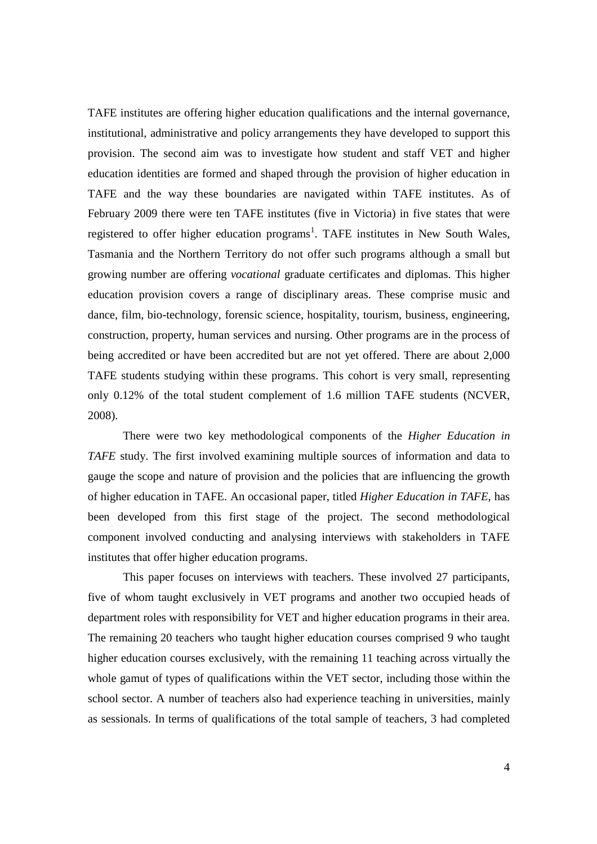TAFE institutes are offering higher education qualifications and the internal governance, institutional, administrative and policy arrangements they have developed to support this provision. The second aim was to investigate how student and staff VET and higher education identities are formed and shaped through the provision of higher education in TAFE and the way these boundaries are navigated within TAFE institutes. As of February 2009 there were ten TAFE institutes (five in Victoria) in five states that were registered to offer higher education programs<sup>1</sup>. TAFE institutes in New South Wales, Tasmania and the Northern Territory do not offer such programs although a small but growing number are offering *vocational* graduate certificates and diplomas. This higher education provision covers a range of disciplinary areas. These comprise music and dance, film, bio-technology, forensic science, hospitality, tourism, business, engineering, construction, property, human services and nursing. Other programs are in the process of being accredited or have been accredited but are not yet offered. There are about 2,000 TAFE students studying within these programs. This cohort is very small, representing only 0.12% of the total student complement of 1.6 million TAFE students (NCVER, 2008).

There were two key methodological components of the *Higher Education in TAFE* study. The first involved examining multiple sources of information and data to gauge the scope and nature of provision and the policies that are influencing the growth of higher education in TAFE. An occasional paper, titled *Higher Education in TAFE*, has been developed from this first stage of the project. The second methodological component involved conducting and analysing interviews with stakeholders in TAFE institutes that offer higher education programs.

This paper focuses on interviews with teachers. These involved 27 participants, five of whom taught exclusively in VET programs and another two occupied heads of department roles with responsibility for VET and higher education programs in their area. The remaining 20 teachers who taught higher education courses comprised 9 who taught higher education courses exclusively, with the remaining 11 teaching across virtually the whole gamut of types of qualifications within the VET sector, including those within the school sector. A number of teachers also had experience teaching in universities, mainly as sessionals. In terms of qualifications of the total sample of teachers, 3 had completed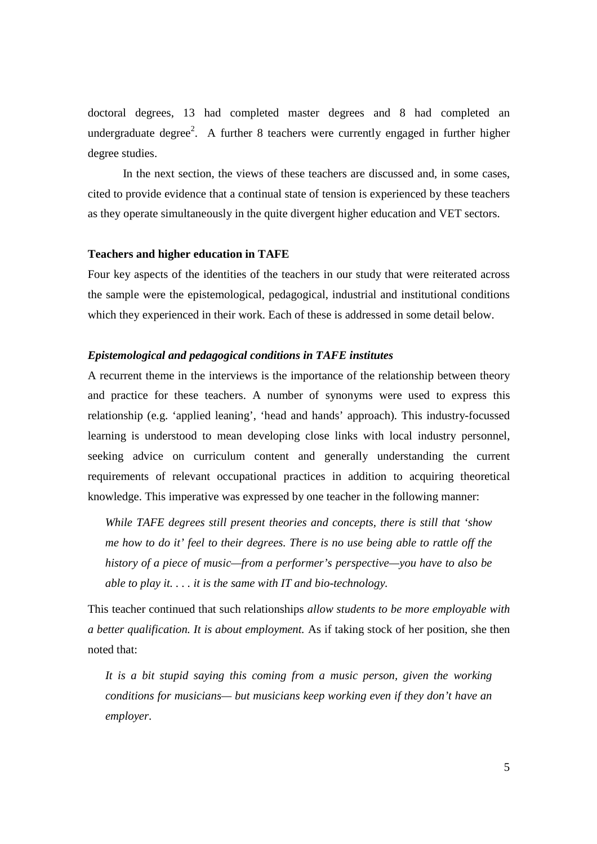doctoral degrees, 13 had completed master degrees and 8 had completed an undergraduate degree<sup>2</sup>. A further 8 teachers were currently engaged in further higher degree studies.

In the next section, the views of these teachers are discussed and, in some cases, cited to provide evidence that a continual state of tension is experienced by these teachers as they operate simultaneously in the quite divergent higher education and VET sectors.

#### **Teachers and higher education in TAFE**

Four key aspects of the identities of the teachers in our study that were reiterated across the sample were the epistemological, pedagogical, industrial and institutional conditions which they experienced in their work. Each of these is addressed in some detail below.

### *Epistemological and pedagogical conditions in TAFE institutes*

A recurrent theme in the interviews is the importance of the relationship between theory and practice for these teachers. A number of synonyms were used to express this relationship (e.g. 'applied leaning', 'head and hands' approach). This industry-focussed learning is understood to mean developing close links with local industry personnel, seeking advice on curriculum content and generally understanding the current requirements of relevant occupational practices in addition to acquiring theoretical knowledge. This imperative was expressed by one teacher in the following manner:

*While TAFE degrees still present theories and concepts, there is still that 'show me how to do it' feel to their degrees. There is no use being able to rattle off the history of a piece of music—from a performer's perspective—you have to also be able to play it. . . . it is the same with IT and bio-technology.* 

This teacher continued that such relationships *allow students to be more employable with a better qualification. It is about employment.* As if taking stock of her position, she then noted that:

*It is a bit stupid saying this coming from a music person, given the working conditions for musicians— but musicians keep working even if they don't have an employer*.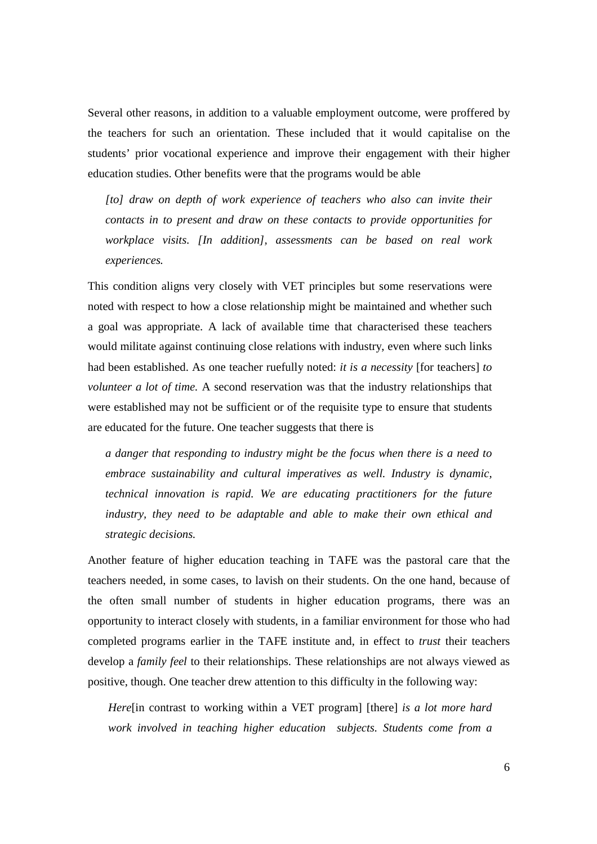Several other reasons, in addition to a valuable employment outcome, were proffered by the teachers for such an orientation. These included that it would capitalise on the students' prior vocational experience and improve their engagement with their higher education studies. Other benefits were that the programs would be able

*[to] draw on depth of work experience of teachers who also can invite their contacts in to present and draw on these contacts to provide opportunities for workplace visits. [In addition], assessments can be based on real work experiences.*

This condition aligns very closely with VET principles but some reservations were noted with respect to how a close relationship might be maintained and whether such a goal was appropriate. A lack of available time that characterised these teachers would militate against continuing close relations with industry, even where such links had been established. As one teacher ruefully noted: *it is a necessity* [for teachers] *to volunteer a lot of time.* A second reservation was that the industry relationships that were established may not be sufficient or of the requisite type to ensure that students are educated for the future. One teacher suggests that there is

*a danger that responding to industry might be the focus when there is a need to embrace sustainability and cultural imperatives as well. Industry is dynamic, technical innovation is rapid. We are educating practitioners for the future industry, they need to be adaptable and able to make their own ethical and strategic decisions.* 

Another feature of higher education teaching in TAFE was the pastoral care that the teachers needed, in some cases, to lavish on their students. On the one hand, because of the often small number of students in higher education programs, there was an opportunity to interact closely with students, in a familiar environment for those who had completed programs earlier in the TAFE institute and, in effect to *trust* their teachers develop a *family feel* to their relationships. These relationships are not always viewed as positive, though. One teacher drew attention to this difficulty in the following way:

*Here*[in contrast to working within a VET program] [there] *is a lot more hard work involved in teaching higher education subjects. Students come from a*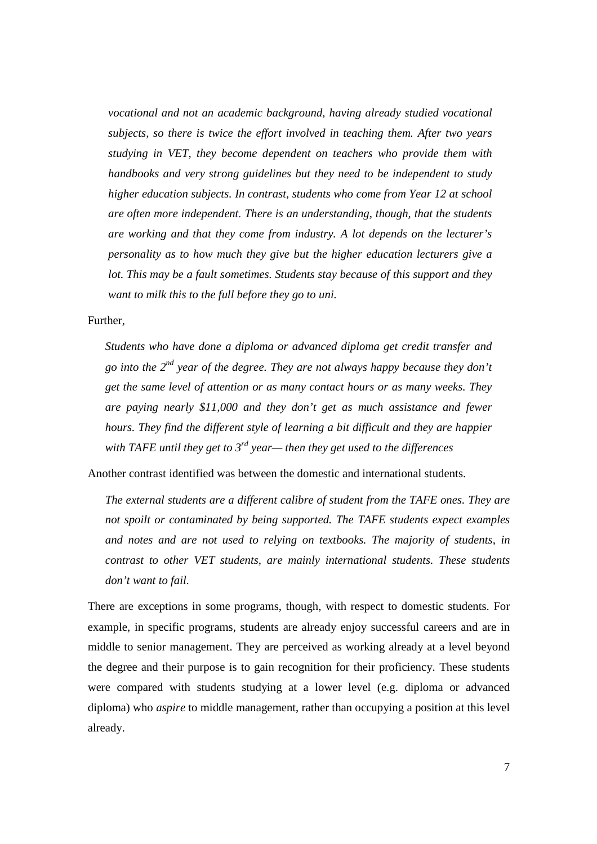*vocational and not an academic background, having already studied vocational subjects, so there is twice the effort involved in teaching them. After two years studying in VET, they become dependent on teachers who provide them with handbooks and very strong guidelines but they need to be independent to study higher education subjects. In contrast, students who come from Year 12 at school are often more independent. There is an understanding, though, that the students are working and that they come from industry. A lot depends on the lecturer's personality as to how much they give but the higher education lecturers give a lot. This may be a fault sometimes. Students stay because of this support and they want to milk this to the full before they go to uni.* 

Further,

*Students who have done a diploma or advanced diploma get credit transfer and go into the 2nd year of the degree. They are not always happy because they don't get the same level of attention or as many contact hours or as many weeks. They are paying nearly \$11,000 and they don't get as much assistance and fewer hours. They find the different style of learning a bit difficult and they are happier with TAFE until they get to 3rd year— then they get used to the differences* 

Another contrast identified was between the domestic and international students.

*The external students are a different calibre of student from the TAFE ones. They are not spoilt or contaminated by being supported. The TAFE students expect examples and notes and are not used to relying on textbooks. The majority of students, in contrast to other VET students, are mainly international students. These students don't want to fail.* 

There are exceptions in some programs, though, with respect to domestic students. For example, in specific programs, students are already enjoy successful careers and are in middle to senior management. They are perceived as working already at a level beyond the degree and their purpose is to gain recognition for their proficiency. These students were compared with students studying at a lower level (e.g. diploma or advanced diploma) who *aspire* to middle management, rather than occupying a position at this level already.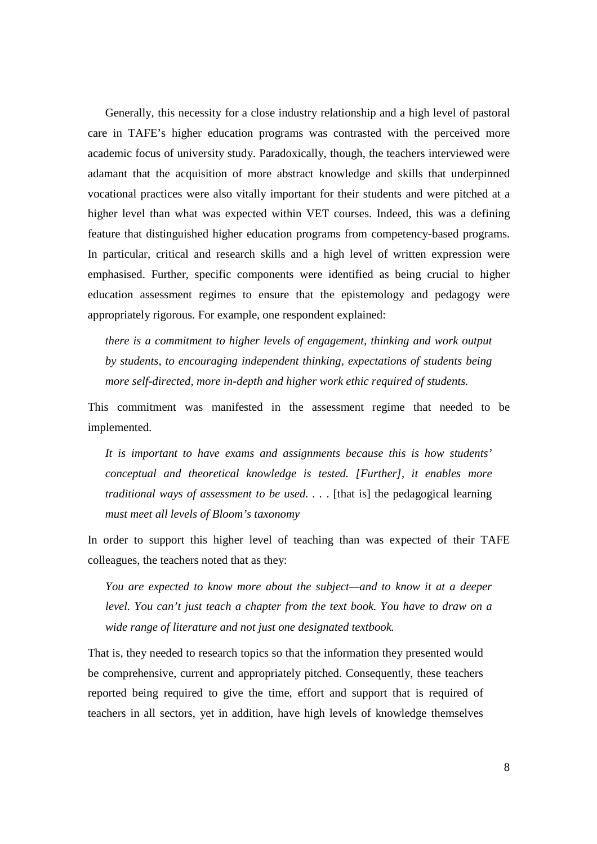Generally, this necessity for a close industry relationship and a high level of pastoral care in TAFE's higher education programs was contrasted with the perceived more academic focus of university study. Paradoxically, though, the teachers interviewed were adamant that the acquisition of more abstract knowledge and skills that underpinned vocational practices were also vitally important for their students and were pitched at a higher level than what was expected within VET courses. Indeed, this was a defining feature that distinguished higher education programs from competency-based programs. In particular, critical and research skills and a high level of written expression were emphasised. Further, specific components were identified as being crucial to higher education assessment regimes to ensure that the epistemology and pedagogy were appropriately rigorous. For example, one respondent explained:

*there is a commitment to higher levels of engagement, thinking and work output by students, to encouraging independent thinking, expectations of students being more self-directed, more in-depth and higher work ethic required of students.* 

This commitment was manifested in the assessment regime that needed to be implemented.

*It is important to have exams and assignments because this is how students' conceptual and theoretical knowledge is tested. [Further], it enables more traditional ways of assessment to be used....* [that is] the pedagogical learning *must meet all levels of Bloom's taxonomy* 

In order to support this higher level of teaching than was expected of their TAFE colleagues, the teachers noted that as they:

*You are expected to know more about the subject—and to know it at a deeper level. You can't just teach a chapter from the text book. You have to draw on a wide range of literature and not just one designated textbook.* 

That is, they needed to research topics so that the information they presented would be comprehensive, current and appropriately pitched. Consequently, these teachers reported being required to give the time, effort and support that is required of teachers in all sectors, yet in addition, have high levels of knowledge themselves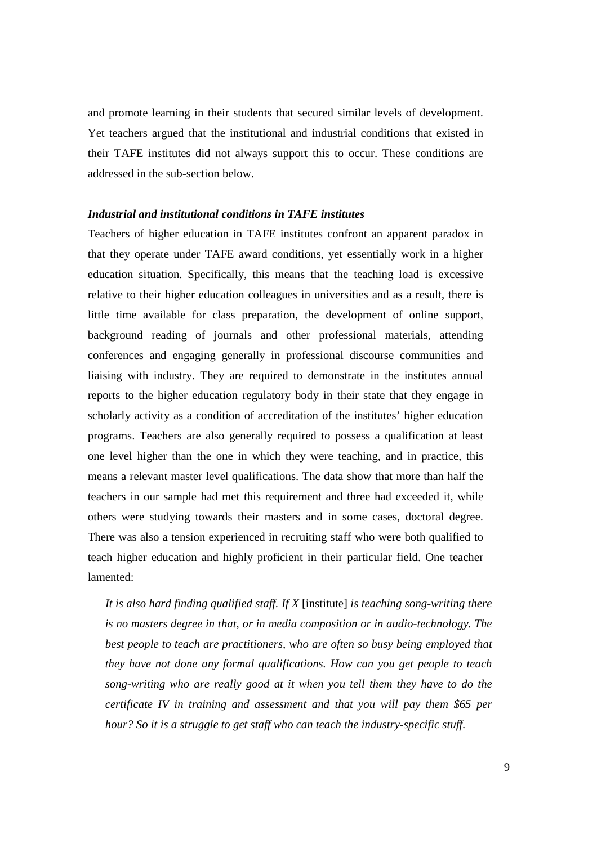and promote learning in their students that secured similar levels of development. Yet teachers argued that the institutional and industrial conditions that existed in their TAFE institutes did not always support this to occur. These conditions are addressed in the sub-section below.

# *Industrial and institutional conditions in TAFE institutes*

Teachers of higher education in TAFE institutes confront an apparent paradox in that they operate under TAFE award conditions, yet essentially work in a higher education situation. Specifically, this means that the teaching load is excessive relative to their higher education colleagues in universities and as a result, there is little time available for class preparation, the development of online support, background reading of journals and other professional materials, attending conferences and engaging generally in professional discourse communities and liaising with industry. They are required to demonstrate in the institutes annual reports to the higher education regulatory body in their state that they engage in scholarly activity as a condition of accreditation of the institutes' higher education programs. Teachers are also generally required to possess a qualification at least one level higher than the one in which they were teaching, and in practice, this means a relevant master level qualifications. The data show that more than half the teachers in our sample had met this requirement and three had exceeded it, while others were studying towards their masters and in some cases, doctoral degree. There was also a tension experienced in recruiting staff who were both qualified to teach higher education and highly proficient in their particular field. One teacher lamented:

*It is also hard finding qualified staff. If X* [institute] *is teaching song-writing there is no masters degree in that, or in media composition or in audio-technology. The best people to teach are practitioners, who are often so busy being employed that they have not done any formal qualifications. How can you get people to teach song-writing who are really good at it when you tell them they have to do the certificate IV in training and assessment and that you will pay them \$65 per hour? So it is a struggle to get staff who can teach the industry-specific stuff.*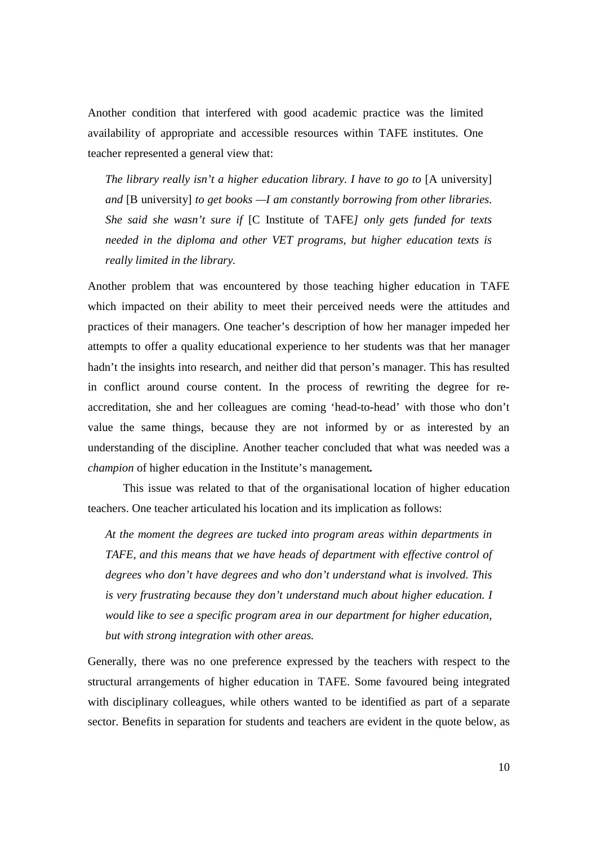Another condition that interfered with good academic practice was the limited availability of appropriate and accessible resources within TAFE institutes. One teacher represented a general view that:

*The library really isn't a higher education library. I have to go to* [A university] *and* [B university] *to get books —I am constantly borrowing from other libraries. She said she wasn't sure if* [C Institute of TAFE*] only gets funded for texts needed in the diploma and other VET programs, but higher education texts is really limited in the library.* 

Another problem that was encountered by those teaching higher education in TAFE which impacted on their ability to meet their perceived needs were the attitudes and practices of their managers. One teacher's description of how her manager impeded her attempts to offer a quality educational experience to her students was that her manager hadn't the insights into research, and neither did that person's manager. This has resulted in conflict around course content. In the process of rewriting the degree for reaccreditation, she and her colleagues are coming 'head-to-head' with those who don't value the same things, because they are not informed by or as interested by an understanding of the discipline. Another teacher concluded that what was needed was a *champion* of higher education in the Institute's management*.* 

 This issue was related to that of the organisational location of higher education teachers. One teacher articulated his location and its implication as follows:

*At the moment the degrees are tucked into program areas within departments in TAFE, and this means that we have heads of department with effective control of degrees who don't have degrees and who don't understand what is involved. This is very frustrating because they don't understand much about higher education. I would like to see a specific program area in our department for higher education, but with strong integration with other areas.* 

Generally, there was no one preference expressed by the teachers with respect to the structural arrangements of higher education in TAFE. Some favoured being integrated with disciplinary colleagues, while others wanted to be identified as part of a separate sector. Benefits in separation for students and teachers are evident in the quote below, as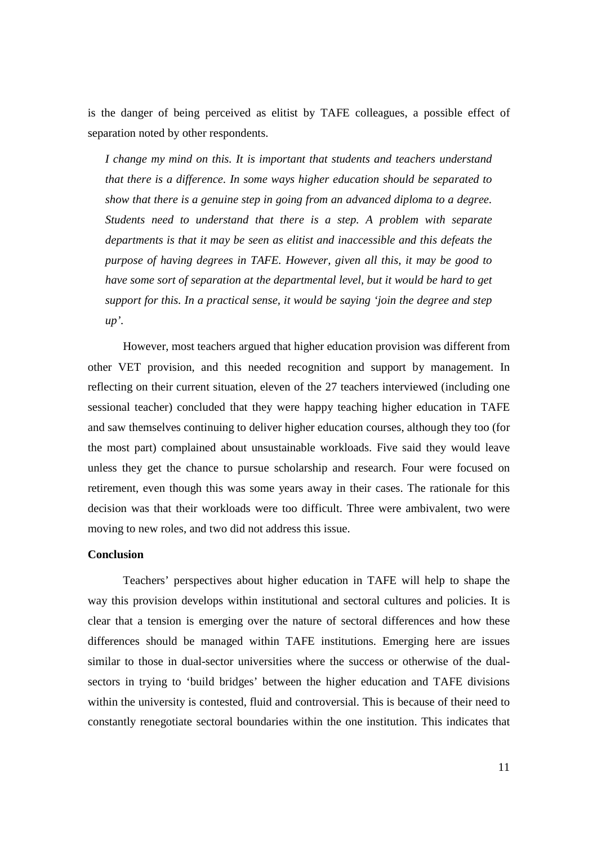is the danger of being perceived as elitist by TAFE colleagues, a possible effect of separation noted by other respondents.

*I change my mind on this. It is important that students and teachers understand that there is a difference. In some ways higher education should be separated to show that there is a genuine step in going from an advanced diploma to a degree. Students need to understand that there is a step. A problem with separate departments is that it may be seen as elitist and inaccessible and this defeats the purpose of having degrees in TAFE. However, given all this, it may be good to have some sort of separation at the departmental level, but it would be hard to get support for this. In a practical sense, it would be saying 'join the degree and step up'.* 

However, most teachers argued that higher education provision was different from other VET provision, and this needed recognition and support by management. In reflecting on their current situation, eleven of the 27 teachers interviewed (including one sessional teacher) concluded that they were happy teaching higher education in TAFE and saw themselves continuing to deliver higher education courses, although they too (for the most part) complained about unsustainable workloads. Five said they would leave unless they get the chance to pursue scholarship and research. Four were focused on retirement, even though this was some years away in their cases. The rationale for this decision was that their workloads were too difficult. Three were ambivalent, two were moving to new roles, and two did not address this issue.

#### **Conclusion**

Teachers' perspectives about higher education in TAFE will help to shape the way this provision develops within institutional and sectoral cultures and policies. It is clear that a tension is emerging over the nature of sectoral differences and how these differences should be managed within TAFE institutions. Emerging here are issues similar to those in dual-sector universities where the success or otherwise of the dualsectors in trying to 'build bridges' between the higher education and TAFE divisions within the university is contested, fluid and controversial. This is because of their need to constantly renegotiate sectoral boundaries within the one institution. This indicates that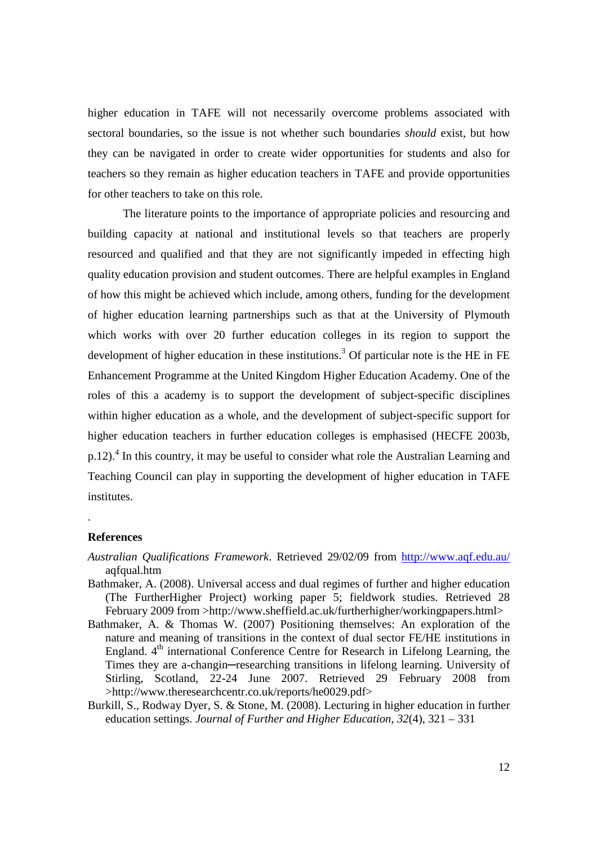higher education in TAFE will not necessarily overcome problems associated with sectoral boundaries, so the issue is not whether such boundaries *should* exist, but how they can be navigated in order to create wider opportunities for students and also for teachers so they remain as higher education teachers in TAFE and provide opportunities for other teachers to take on this role.

The literature points to the importance of appropriate policies and resourcing and building capacity at national and institutional levels so that teachers are properly resourced and qualified and that they are not significantly impeded in effecting high quality education provision and student outcomes. There are helpful examples in England of how this might be achieved which include, among others, funding for the development of higher education learning partnerships such as that at the University of Plymouth which works with over 20 further education colleges in its region to support the development of higher education in these institutions.<sup>3</sup> Of particular note is the HE in FE Enhancement Programme at the United Kingdom Higher Education Academy. One of the roles of this a academy is to support the development of subject-specific disciplines within higher education as a whole, and the development of subject-specific support for higher education teachers in further education colleges is emphasised (HECFE 2003b, p.12).<sup>4</sup> In this country, it may be useful to consider what role the Australian Learning and Teaching Council can play in supporting the development of higher education in TAFE institutes.

#### **References**

.

- *Australian Qualifications Framework*. Retrieved 29/02/09 from http://www.aqf.edu.au/ aqfqual.htm
- Bathmaker, A. (2008). Universal access and dual regimes of further and higher education (The FurtherHigher Project) working paper 5; fieldwork studies. Retrieved 28 February 2009 from >http://www.sheffield.ac.uk/furtherhigher/workingpapers.html>
- Bathmaker, A. & Thomas W. (2007) Positioning themselves: An exploration of the nature and meaning of transitions in the context of dual sector FE/HE institutions in England.  $4<sup>th</sup>$  international Conference Centre for Research in Lifelong Learning, the Times they are a-changin—researching transitions in lifelong learning. University of Stirling, Scotland, 22-24 June 2007. Retrieved 29 February 2008 from >http://www.theresearchcentr.co.uk/reports/he0029.pdf>
- Burkill, S., Rodway Dyer, S. & Stone, M. (2008). Lecturing in higher education in further education settings. *Journal of Further and Higher Education*, *32*(4), 321 – 331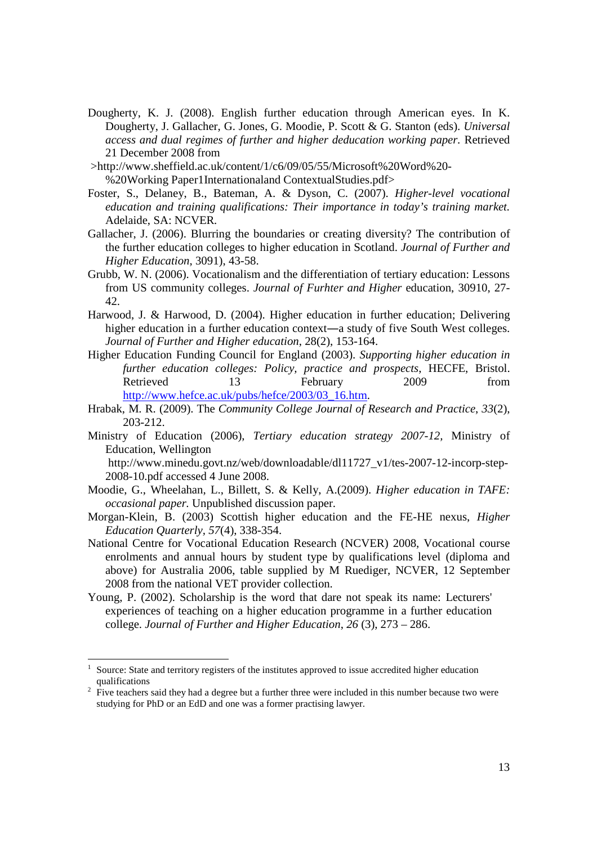- Dougherty, K. J. (2008). English further education through American eyes. In K. Dougherty, J. Gallacher, G. Jones, G. Moodie, P. Scott & G. Stanton (eds). *Universal access and dual regimes of further and higher deducation working paper.* Retrieved 21 December 2008 from
- >http://www.sheffield.ac.uk/content/1/c6/09/05/55/Microsoft%20Word%20- %20Working Paper1Internationaland ContextualStudies.pdf>
- Foster, S., Delaney, B., Bateman, A. & Dyson, C. (2007). *Higher-level vocational education and training qualifications: Their importance in today's training market.*  Adelaide, SA: NCVER*.*
- Gallacher, J. (2006). Blurring the boundaries or creating diversity? The contribution of the further education colleges to higher education in Scotland. *Journal of Further and Higher Education*, 3091), 43-58.
- Grubb, W. N. (2006). Vocationalism and the differentiation of tertiary education: Lessons from US community colleges. *Journal of Furhter and Higher* education, 30910, 27- 42.
- Harwood, J. & Harwood, D. (2004). Higher education in further education; Delivering higher education in a further education context—a study of five South West colleges. *Journal of Further and Higher education*, 28(2), 153-164.
- Higher Education Funding Council for England (2003). *Supporting higher education in further education colleges: Policy, practice and prospects*, HECFE, Bristol. Retrieved 13 February 2009 from http://www.hefce.ac.uk/pubs/hefce/2003/03\_16.htm.
- Hrabak, M. R. (2009). The *Community College Journal of Research and Practice*, *33*(2), 203-212.
- Ministry of Education (2006), *Tertiary education strategy 2007-12,* Ministry of Education, Wellington http://www.minedu.govt.nz/web/downloadable/dl11727\_v1/tes-2007-12-incorp-step-

2008-10.pdf accessed 4 June 2008.

- Moodie, G., Wheelahan, L., Billett, S. & Kelly, A.(2009). *Higher education in TAFE: occasional paper.* Unpublished discussion paper.
- Morgan-Klein, B. (2003) Scottish higher education and the FE-HE nexus, *Higher Education Quarterly, 57*(4), 338-354.
- National Centre for Vocational Education Research (NCVER) 2008, Vocational course enrolments and annual hours by student type by qualifications level (diploma and above) for Australia 2006, table supplied by M Ruediger, NCVER, 12 September 2008 from the national VET provider collection.
- Young, P. (2002). Scholarship is the word that dare not speak its name: Lecturers' experiences of teaching on a higher education programme in a further education college. *Journal of Further and Higher Education*, *26* (3), 273 – 286.

 $\overline{a}$ 

<sup>1</sup> Source: State and territory registers of the institutes approved to issue accredited higher education qualifications

 $2\text{ }$  Five teachers said they had a degree but a further three were included in this number because two were studying for PhD or an EdD and one was a former practising lawyer.